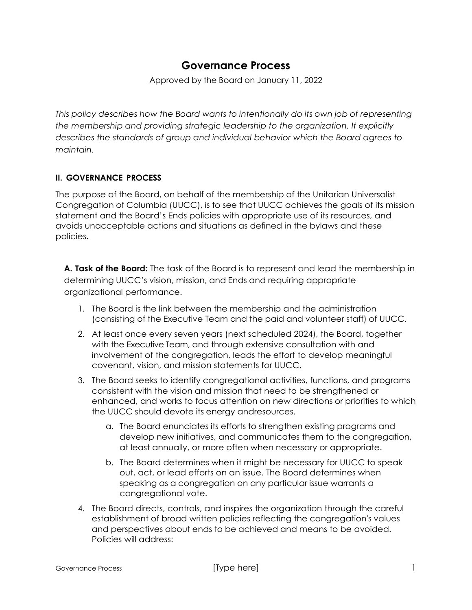# **Governance Process**

Approved by the Board on January 11, 2022

*This policy describes how the Board wants to intentionally do its own job of representing the membership and providing strategic leadership to the organization. It explicitly describes the standards of group and individual behavior which the Board agrees to maintain.*

## **II. GOVERNANCE PROCESS**

The purpose of the Board, on behalf of the membership of the Unitarian Universalist Congregation of Columbia (UUCC), is to see that UUCC achieves the goals of its mission statement and the Board's Ends policies with appropriate use of its resources, and avoids unacceptable actions and situations as defined in the bylaws and these policies.

**A. Task of the Board:** The task of the Board is to represent and lead the membership in determining UUCC's vision, mission, and Ends and requiring appropriate organizational performance.

- 1. The Board is the link between the membership and the administration (consisting of the Executive Team and the paid and volunteer staff) of UUCC.
- 2. At least once every seven years (next scheduled 2024), the Board, together with the Executive Team, and through extensive consultation with and involvement of the congregation, leads the effort to develop meaningful covenant, vision, and mission statements for UUCC.
- 3. The Board seeks to identify congregational activities, functions, and programs consistent with the vision and mission that need to be strengthened or enhanced, and works to focus attention on new directions or priorities to which the UUCC should devote its energy andresources.
	- a. The Board enunciates its efforts to strengthen existing programs and develop new initiatives, and communicates them to the congregation, at least annually, or more often when necessary or appropriate.
	- b. The Board determines when it might be necessary for UUCC to speak out, act, or lead efforts on an issue. The Board determines when speaking as a congregation on any particular issue warrants a congregational vote.
- 4. The Board directs, controls, and inspires the organization through the careful establishment of broad written policies reflecting the congregation's values and perspectives about ends to be achieved and means to be avoided. Policies will address: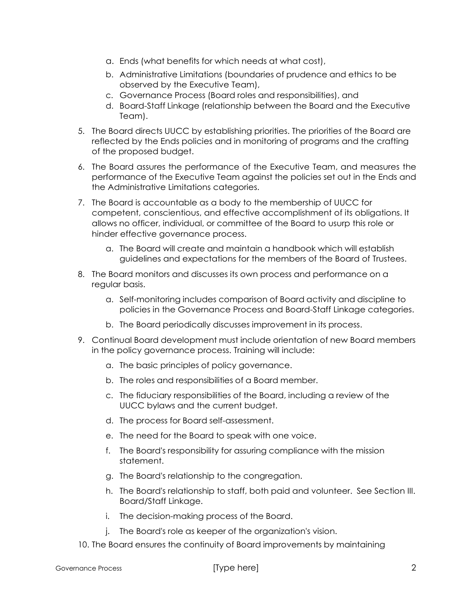- a. Ends (what benefits for which needs at what cost),
- b. Administrative Limitations (boundaries of prudence and ethics to be observed by the Executive Team),
- c. Governance Process (Board roles and responsibilities), and
- d. Board-Staff Linkage (relationship between the Board and the Executive Team).
- 5. The Board directs UUCC by establishing priorities. The priorities of the Board are reflected by the Ends policies and in monitoring of programs and the crafting of the proposed budget.
- 6. The Board assures the performance of the Executive Team, and measures the performance of the Executive Team against the policies set out in the Ends and the Administrative Limitations categories.
- 7. The Board is accountable as a body to the membership of UUCC for competent, conscientious, and effective accomplishment of its obligations. It allows no officer, individual, or committee of the Board to usurp this role or hinder effective governance process.
	- a. The Board will create and maintain a handbook which will establish guidelines and expectations for the members of the Board of Trustees.
- 8. The Board monitors and discusses its own process and performance on a regular basis.
	- a. Self-monitoring includes comparison of Board activity and discipline to policies in the Governance Process and Board-Staff Linkage categories.
	- b. The Board periodically discusses improvement in its process.
- 9. Continual Board development must include orientation of new Board members in the policy governance process. Training will include:
	- a. The basic principles of policy governance.
	- b. The roles and responsibilities of a Board member.
	- c. The fiduciary responsibilities of the Board, including a review of the UUCC bylaws and the current budget.
	- d. The process for Board self-assessment.
	- e. The need for the Board to speak with one voice.
	- f. The Board's responsibility for assuring compliance with the mission statement.
	- g. The Board's relationship to the congregation.
	- h. The Board's relationship to staff, both paid and volunteer. See Section III. Board/Staff Linkage.
	- i. The decision-making process of the Board.
	- j. The Board's role as keeper of the organization's vision.
- 10. The Board ensures the continuity of Board improvements by maintaining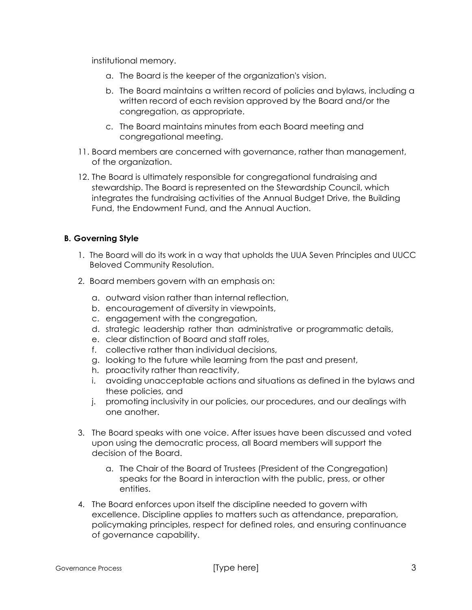institutional memory.

- a. The Board is the keeper of the organization's vision.
- b. The Board maintains a written record of policies and bylaws, including a written record of each revision approved by the Board and/or the congregation, as appropriate.
- c. The Board maintains minutes from each Board meeting and congregational meeting.
- 11. Board members are concerned with governance, rather than management, of the organization.
- 12. The Board is ultimately responsible for congregational fundraising and stewardship. The Board is represented on the Stewardship Council, which integrates the fundraising activities of the Annual Budget Drive, the Building Fund, the Endowment Fund, and the Annual Auction.

#### **B. Governing Style**

- 1. The Board will do its work in a way that upholds the UUA Seven Principles and UUCC Beloved Community Resolution.
- 2. Board members govern with an emphasis on:
	- a. outward vision rather than internal reflection,
	- b. encouragement of diversity in viewpoints,
	- c. engagement with the congregation,
	- d. strategic leadership rather than administrative or programmatic details,
	- e. clear distinction of Board and staff roles,
	- f. collective rather than individual decisions,
	- g. looking to the future while learning from the past and present,
	- h. proactivity rather than reactivity,
	- i. avoiding unacceptable actions and situations as defined in the bylaws and these policies, and
	- j. promoting inclusivity in our policies, our procedures, and our dealings with one another.
- 3. The Board speaks with one voice. After issues have been discussed and voted upon using the democratic process, all Board members will support the decision of the Board.
	- a. The Chair of the Board of Trustees (President of the Congregation) speaks for the Board in interaction with the public, press, or other entities.
- 4. The Board enforces upon itself the discipline needed to govern with excellence. Discipline applies to matters such as attendance, preparation, policymaking principles, respect for defined roles, and ensuring continuance of governance capability.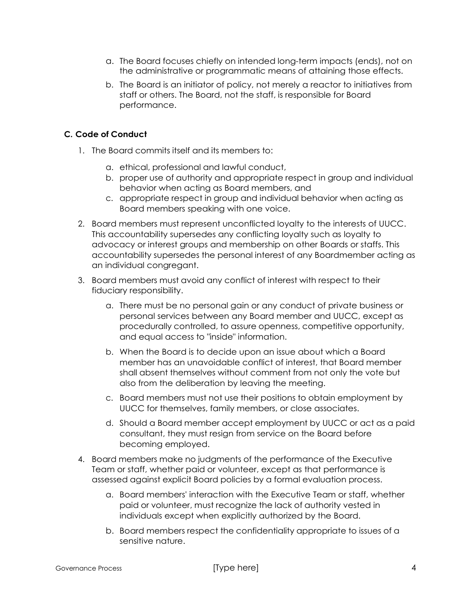- a. The Board focuses chiefly on intended long-term impacts (ends), not on the administrative or programmatic means of attaining those effects.
- b. The Board is an initiator of policy, not merely a reactor to initiatives from staff or others. The Board, not the staff, is responsible for Board performance.

### **C. Code of Conduct**

- 1. The Board commits itself and its members to:
	- a. ethical, professional and lawful conduct,
	- b. proper use of authority and appropriate respect in group and individual behavior when acting as Board members, and
	- c. appropriate respect in group and individual behavior when acting as Board members speaking with one voice.
- 2. Board members must represent unconflicted loyalty to the interests of UUCC. This accountability supersedes any conflicting loyalty such as loyalty to advocacy or interest groups and membership on other Boards or staffs. This accountability supersedes the personal interest of any Boardmember acting as an individual congregant.
- 3. Board members must avoid any conflict of interest with respect to their fiduciary responsibility.
	- a. There must be no personal gain or any conduct of private business or personal services between any Board member and UUCC, except as procedurally controlled, to assure openness, competitive opportunity, and equal access to "inside" information.
	- b. When the Board is to decide upon an issue about which a Board member has an unavoidable conflict of interest, that Board member shall absent themselves without comment from not only the vote but also from the deliberation by leaving the meeting.
	- c. Board members must not use their positions to obtain employment by UUCC for themselves, family members, or close associates.
	- d. Should a Board member accept employment by UUCC or act as a paid consultant, they must resign from service on the Board before becoming employed.
- 4. Board members make no judgments of the performance of the Executive Team or staff, whether paid or volunteer, except as that performance is assessed against explicit Board policies by a formal evaluation process.
	- a. Board members' interaction with the Executive Team or staff, whether paid or volunteer, must recognize the lack of authority vested in individuals except when explicitly authorized by the Board.
	- b. Board members respect the confidentiality appropriate to issues of a sensitive nature.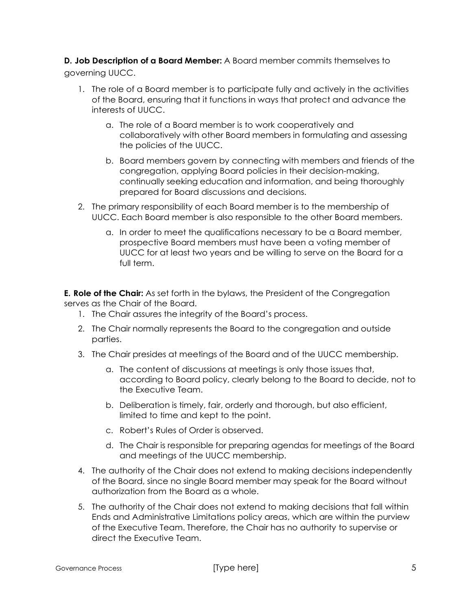**D. Job Description of a Board Member:** A Board member commits themselves to governing UUCC.

- 1. The role of a Board member is to participate fully and actively in the activities of the Board, ensuring that it functions in ways that protect and advance the interests of UUCC.
	- a. The role of a Board member is to work cooperatively and collaboratively with other Board members in formulating and assessing the policies of the UUCC.
	- b. Board members govern by connecting with members and friends of the congregation, applying Board policies in their decision-making, continually seeking education and information, and being thoroughly prepared for Board discussions and decisions.
- 2. The primary responsibility of each Board member is to the membership of UUCC. Each Board member is also responsible to the other Board members.
	- a. In order to meet the qualifications necessary to be a Board member, prospective Board members must have been a voting member of UUCC for at least two years and be willing to serve on the Board for a full term.

**E. Role of the Chair:** As set forth in the bylaws, the President of the Congregation serves as the Chair of the Board.

- 1. The Chair assures the integrity of the Board's process.
- 2. The Chair normally represents the Board to the congregation and outside parties.
- 3. The Chair presides at meetings of the Board and of the UUCC membership.
	- a. The content of discussions at meetings is only those issues that, according to Board policy, clearly belong to the Board to decide, not to the Executive Team.
	- b. Deliberation is timely, fair, orderly and thorough, but also efficient, limited to time and kept to the point.
	- c. Robert's Rules of Order is observed.
	- d. The Chair is responsible for preparing agendas for meetings of the Board and meetings of the UUCC membership.
- 4. The authority of the Chair does not extend to making decisions independently of the Board, since no single Board member may speak for the Board without authorization from the Board as a whole.
- 5. The authority of the Chair does not extend to making decisions that fall within Ends and Administrative Limitations policy areas, which are within the purview of the Executive Team. Therefore, the Chair has no authority to supervise or direct the Executive Team.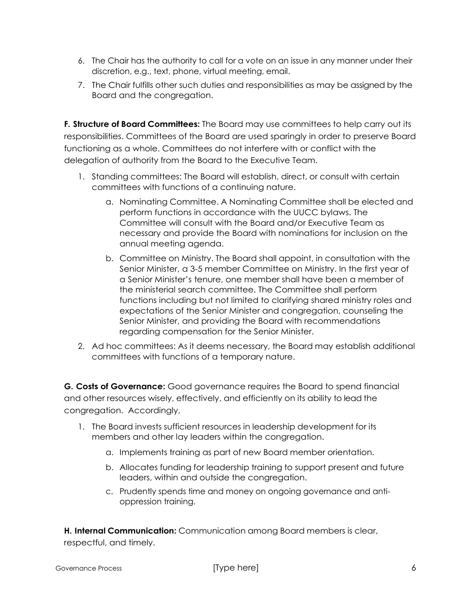- 6. The Chair has the authority to call for a vote on an issue in any manner under their discretion, e.g., text, phone, virtual meeting, email.
- 7. The Chair fulfills other such duties and responsibilities as may be assigned by the Board and the congregation.

**F. Structure of Board Committees:** The Board may use committees to help carry out its responsibilities. Committees of the Board are used sparingly in order to preserve Board functioning as a whole. Committees do not interfere with or conflict with the delegation of authority from the Board to the Executive Team.

- 1. Standing committees: The Board will establish, direct, or consult with certain committees with functions of a continuing nature.
	- a. Nominating Committee. A Nominating Committee shall be elected and perform functions in accordance with the UUCC bylaws. The Committee will consult with the Board and/or Executive Team as necessary and provide the Board with nominations for inclusion on the annual meeting agenda.
	- b. Committee on Ministry. The Board shall appoint, in consultation with the Senior Minister, a 3-5 member Committee on Ministry. In the first year of a Senior Minister's tenure, one member shall have been a member of the ministerial search committee. The Committee shall perform functions including but not limited to clarifying shared ministry roles and expectations of the Senior Minister and congregation, counseling the Senior Minister, and providing the Board with recommendations regarding compensation for the Senior Minister.
- 2. Ad hoc committees: As it deems necessary, the Board may establish additional committees with functions of a temporary nature.

**G. Costs of Governance:** Good governance requires the Board to spend financial and other resources wisely, effectively, and efficiently on its ability to lead the congregation. Accordingly,

- 1. The Board invests sufficient resources in leadership development for its members and other lay leaders within the congregation.
	- a. Implements training as part of new Board member orientation.
	- b. Allocates funding for leadership training to support present and future leaders, within and outside the congregation.
	- c. Prudently spends time and money on ongoing governance and antioppression training.

**H. Internal Communication:** Communication among Board members is clear, respectful, and timely.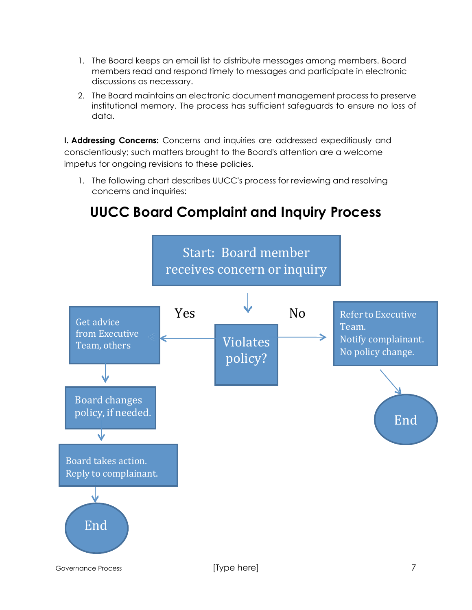- 1. The Board keeps an email list to distribute messages among members. Board members read and respond timely to messages and participate in electronic discussions as necessary.
- 2. The Board maintains an electronic document management process to preserve institutional memory. The process has sufficient safeguards to ensure no loss of data.

**I. Addressing Concerns:** Concerns and inquiries are addressed expeditiously and conscientiously; such matters brought to the Board's attention are a welcome impetus for ongoing revisions to these policies.

1. The following chart describes UUCC's process for reviewing and resolving concerns and inquiries:

# **UUCC Board Complaint and Inquiry Process**